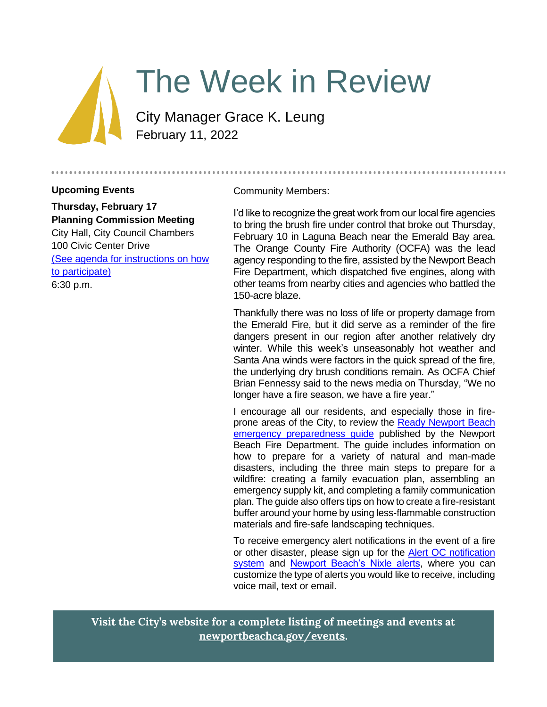

# The Week in Review

City Manager Grace K. Leung February 11, 2022

#### **Upcoming Events**

**Thursday, February 17 Planning Commission Meeting** City Hall, City Council Chambers 100 Civic Center Drive [\(See agenda for instructions on how](https://www.newportbeachca.gov/government/departments/community-development/planning-division/planning-commission)  [to participate\)](https://www.newportbeachca.gov/government/departments/community-development/planning-division/planning-commission) 6:30 p.m.

Community Members:

I'd like to recognize the great work from our local fire agencies to bring the brush fire under control that broke out Thursday, February 10 in Laguna Beach near the Emerald Bay area. The Orange County Fire Authority (OCFA) was the lead agency responding to the fire, assisted by the Newport Beach Fire Department, which dispatched five engines, along with other teams from nearby cities and agencies who battled the 150-acre blaze.

Thankfully there was no loss of life or property damage from the Emerald Fire, but it did serve as a reminder of the fire dangers present in our region after another relatively dry winter. While this week's unseasonably hot weather and Santa Ana winds were factors in the quick spread of the fire, the underlying dry brush conditions remain. As OCFA Chief Brian Fennessy said to the news media on Thursday, "We no longer have a fire season, we have a fire year."

I encourage all our residents, and especially those in fireprone areas of the City, to review the [Ready Newport Beach](https://www.newportbeachca.gov/home/showpublisheddocument/66881/637260787861070000)  [emergency preparedness guide](https://www.newportbeachca.gov/home/showpublisheddocument/66881/637260787861070000) published by the Newport Beach Fire Department. The guide includes information on how to prepare for a variety of natural and man-made disasters, including the three main steps to prepare for a wildfire: creating a family evacuation plan, assembling an emergency supply kit, and completing a family communication plan. The guide also offers tips on how to create a fire-resistant buffer around your home by using less-flammable construction materials and fire-safe landscaping techniques.

To receive emergency alert notifications in the event of a fire or other disaster, please sign up for the [Alert OC notification](https://member.everbridge.net/453003085613900/login)  [system](https://member.everbridge.net/453003085613900/login) and [Newport Beach's Nixle alerts,](https://www.nixle.com/) where you can customize the type of alerts you would like to receive, including voice mail, text or email.

**Visit the City's website for a complete listing of meetings and events at [newportbeachca.gov/events.](https://www.newportbeachca.gov/government/data-hub/city-calendar)**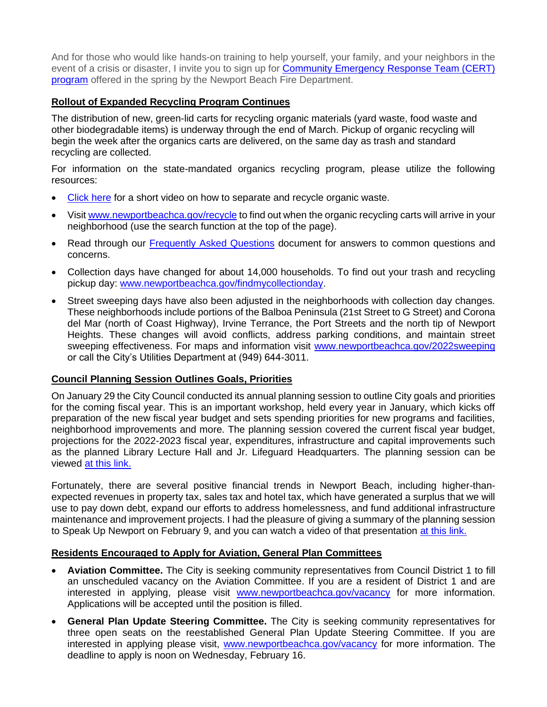And for those who would like hands-on training to help yourself, your family, and your neighbors in the event of a crisis or disaster, I invite you to sign up for Community Emergency Response Team (CERT) [program](https://newportbeachca.gov/government/departments/fire-department/life-safety-services-division/community-emergency-response-team-nbcert) offered in the spring by the Newport Beach Fire Department.

#### **Rollout of Expanded Recycling Program Continues**

The distribution of new, green-lid carts for recycling organic materials (yard waste, food waste and other biodegradable items) is underway through the end of March. Pickup of organic recycling will begin the week after the organics carts are delivered, on the same day as trash and standard recycling are collected.

For information on the state-mandated organics recycling program, please utilize the following resources:

- [Click here](https://www.youtube.com/watch?v=cn6jWR2RK6Q&t=24s) for a short video on how to separate and recycle organic waste.
- Visit [www.newportbeachca.gov/recycle](http://www.newportbeachca.gov/recycle) to find out when the organic recycling carts will arrive in your neighborhood (use the search function at the top of the page).
- Read through our [Frequently Asked Questions](https://www.newportbeachca.gov/home/showpublisheddocument/70926/637770021974330000) document for answers to common questions and concerns.
- Collection days have changed for about 14,000 households. To find out your trash and recycling pickup day: [www.newportbeachca.gov/findmycollectionday.](http://www.newportbeachca.gov/findmycollectionday)
- Street sweeping days have also been adjusted in the neighborhoods with collection day changes. These neighborhoods include portions of the Balboa Peninsula (21st Street to G Street) and Corona del Mar (north of Coast Highway), Irvine Terrance, the Port Streets and the north tip of Newport Heights. These changes will avoid conflicts, address parking conditions, and maintain street sweeping effectiveness. For maps and information visit [www.newportbeachca.gov/2022sweeping](http://www.newportbeachca.gov/2022sweeping) or call the City's Utilities Department at (949) 644-3011.

#### **Council Planning Session Outlines Goals, Priorities**

On January 29 the City Council conducted its annual planning session to outline City goals and priorities for the coming fiscal year. This is an important workshop, held every year in January, which kicks off preparation of the new fiscal year budget and sets spending priorities for new programs and facilities, neighborhood improvements and more. The planning session covered the current fiscal year budget, projections for the 2022-2023 fiscal year, expenditures, infrastructure and capital improvements such as the planned Library Lecture Hall and Jr. Lifeguard Headquarters. The planning session can be viewed at [this link.](https://newportbeach.granicus.com/mediaplayer.php?clip_id=3885)

Fortunately, there are several positive financial trends in Newport Beach, including higher-thanexpected revenues in property tax, sales tax and hotel tax, which have generated a surplus that we will use to pay down debt, expand our efforts to address homelessness, and fund additional infrastructure maintenance and improvement projects. I had the pleasure of giving a summary of the planning session to Speak Up Newport on February 9, and you can watch a video of that presentation at [this link.](https://vimeo.com/675727444) 

#### **Residents Encouraged to Apply for Aviation, General Plan Committees**

- **Aviation Committee.** The City is seeking community representatives from Council District 1 to fill an unscheduled vacancy on the Aviation Committee. If you are a resident of District 1 and are interested in applying, please visit [www.newportbeachca.gov/vacancy](http://www.newportbeachca.gov/vacancy) for more information. Applications will be accepted until the position is filled.
- **General Plan Update Steering Committee.** The City is seeking community representatives for three open seats on the reestablished General Plan Update Steering Committee. If you are interested in applying please visit, [www.newportbeachca.gov/vacancy](https://www.newportbeachca.gov/government/boards-commissions-committees/vacancy-announcements) for more information. The deadline to apply is noon on Wednesday, February 16.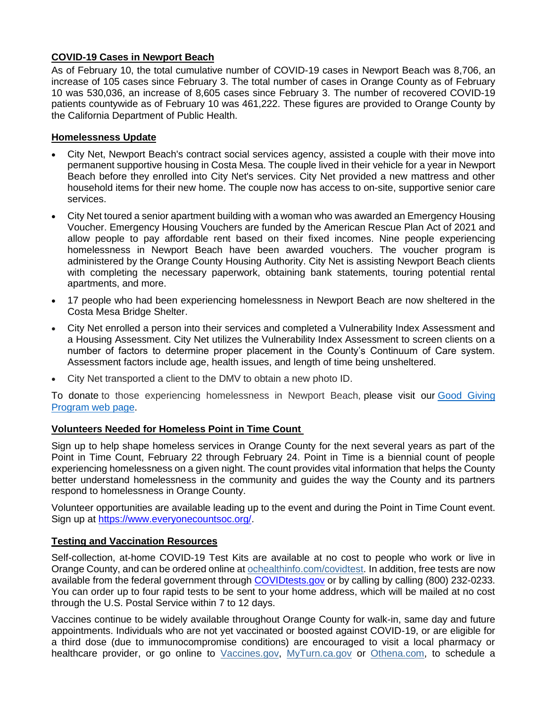#### **COVID-19 Cases in Newport Beach**

As of February 10, the total cumulative number of COVID-19 cases in Newport Beach was 8,706, an increase of 105 cases since February 3. The total number of cases in Orange County as of February 10 was 530,036, an increase of 8,605 cases since February 3. The number of recovered COVID-19 patients countywide as of February 10 was 461,222. These figures are provided to Orange County by the California Department of Public Health.

#### **Homelessness Update**

- City Net, Newport Beach's contract social services agency, assisted a couple with their move into permanent supportive housing in Costa Mesa. The couple lived in their vehicle for a year in Newport Beach before they enrolled into City Net's services. City Net provided a new mattress and other household items for their new home. The couple now has access to on-site, supportive senior care services.
- City Net toured a senior apartment building with a woman who was awarded an Emergency Housing Voucher. Emergency Housing Vouchers are funded by the American Rescue Plan Act of 2021 and allow people to pay affordable rent based on their fixed incomes. Nine people experiencing homelessness in Newport Beach have been awarded vouchers. The voucher program is administered by the Orange County Housing Authority. City Net is assisting Newport Beach clients with completing the necessary paperwork, obtaining bank statements, touring potential rental apartments, and more.
- 17 people who had been experiencing homelessness in Newport Beach are now sheltered in the Costa Mesa Bridge Shelter.
- City Net enrolled a person into their services and completed a Vulnerability Index Assessment and a Housing Assessment. City Net utilizes the Vulnerability Index Assessment to screen clients on a number of factors to determine proper placement in the County's Continuum of Care system. Assessment factors include age, health issues, and length of time being unsheltered.
- City Net transported a client to the DMV to obtain a new photo ID.

To donate to those experiencing homelessness in Newport Beach, please visit our [Good Giving](https://newportbeachca.gov/trending/community-issues/homelessness/how-you-can-help)  [Program web page.](https://newportbeachca.gov/trending/community-issues/homelessness/how-you-can-help)

# **Volunteers Needed for Homeless Point in Time Count**

Sign up to help shape homeless services in Orange County for the next several years as part of the Point in Time Count, February 22 through February 24. Point in Time is a biennial count of people experiencing homelessness on a given night. The count provides vital information that helps the County better understand homelessness in the community and guides the way the County and its partners respond to homelessness in Orange County.

Volunteer opportunities are available leading up to the event and during the Point in Time Count event. Sign up at [https://www.everyonecountsoc.org/.](https://www.everyonecountsoc.org/)

#### **Testing and Vaccination Resources**

Self-collection, at-home COVID-19 Test Kits are available at no cost to people who work or live in Orange County, and can be ordered online at [ochealthinfo.com/covidtest.](https://ochealthinfo.us4.list-manage.com/track/click?u=2f2593b644c191a74f2a4d25a&id=35eeba435c&e=84e0ec53fe) In addition, free tests are now available from the federal government throug[h COVIDtests.gov](https://www.covidtests.gov/) or by calling by calling (800) 232-0233. You can order up to four rapid tests to be sent to your home address, which will be mailed at no cost through the U.S. Postal Service within 7 to 12 days.

Vaccines continue to be widely available throughout Orange County for walk-in, same day and future appointments. Individuals who are not yet vaccinated or boosted against COVID-19, or are eligible for a third dose (due to immunocompromise conditions) are encouraged to visit a local pharmacy or healthcare provider, or go online to [Vaccines.gov,](https://ochealthinfo.us4.list-manage.com/track/click?u=2f2593b644c191a74f2a4d25a&id=fb99f06d5e&e=84e0ec53fe) [MyTurn.ca.gov](https://ochealthinfo.us4.list-manage.com/track/click?u=2f2593b644c191a74f2a4d25a&id=e31ac66117&e=84e0ec53fe) or [Othena.com,](https://ochealthinfo.us4.list-manage.com/track/click?u=2f2593b644c191a74f2a4d25a&id=aee73100a7&e=84e0ec53fe) to schedule a